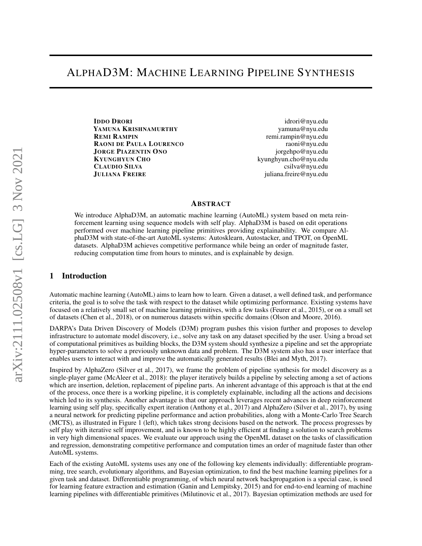**IDDO DRORI** [idrori@nyu.edu](mailto:idrori@nyu.edu) YAMUNA KRISHNAMURTHY [yamuna@nyu.edu](mailto:yamuna@nyu.edu) REMI RAMPIN [remi.rampin@nyu.edu](mailto:remi.rampin@nyu.edu) RAONI DE PAULA LOURENCO [raoni@nyu.edu](mailto:raoni@nyu.edu) JORGE PIAZENTIN ONO [jorgehpo@nyu.edu](mailto:jorgehpo@nyu.edu) KYUNGHYUN CHO [kyunghyun.cho@nyu.edu](mailto:kyunghyun.cho@nyu.edu) CLAUDIO SILVA [csilva@nyu.edu](mailto:csilva@nyu.edu) JULIANA FREIRE [juliana.freire@nyu.edu](mailto:juliana.freire@nyu.edu)

### ABSTRACT

We introduce AlphaD3M, an automatic machine learning (AutoML) system based on meta reinforcement learning using sequence models with self play. AlphaD3M is based on edit operations performed over machine learning pipeline primitives providing explainability. We compare AlphaD3M with state-of-the-art AutoML systems: Autosklearn, Autostacker, and TPOT, on OpenML datasets. AlphaD3M achieves competitive performance while being an order of magnitude faster, reducing computation time from hours to minutes, and is explainable by design.

## 1 Introduction

Automatic machine learning (AutoML) aims to learn how to learn. Given a dataset, a well defined task, and performance criteria, the goal is to solve the task with respect to the dataset while optimizing performance. Existing systems have focused on a relatively small set of machine learning primitives, with a few tasks [\(Feurer et al., 2015\)](#page-4-0), or on a small set of datasets [\(Chen et al., 2018\)](#page-4-1), or on numerous datasets within specific domains [\(Olson and Moore, 2016\)](#page-5-0).

DARPA's Data Driven Discovery of Models (D3M) program pushes this vision further and proposes to develop infrastructure to automate model discovery, i.e., solve any task on any dataset specified by the user. Using a broad set of computational primitives as building blocks, the D3M system should synthesize a pipeline and set the appropriate hyper-parameters to solve a previously unknown data and problem. The D3M system also has a user interface that enables users to interact with and improve the automatically generated results [\(Blei and Myth, 2017\)](#page-4-2).

Inspired by AlphaZero [\(Silver et al., 2017\)](#page-5-1), we frame the problem of pipeline synthesis for model discovery as a single-player game [\(McAleer et al., 2018\)](#page-4-3): the player iteratively builds a pipeline by selecting among a set of actions which are insertion, deletion, replacement of pipeline parts. An inherent advantage of this approach is that at the end of the process, once there is a working pipeline, it is completely explainable, including all the actions and decisions which led to its synthesis. Another advantage is that our approach leverages recent advances in deep reinforcement learning using self play, specifically expert iteration [\(Anthony et al., 2017\)](#page-4-4) and AlphaZero [\(Silver et al., 2017\)](#page-5-1), by using a neural network for predicting pipeline performance and action probabilities, along with a Monte-Carlo Tree Search (MCTS), as illustrated in Figure [1](#page-1-0) (left), which takes strong decisions based on the network. The process progresses by self play with iterative self improvement, and is known to be highly efficient at finding a solution to search problems in very high dimensional spaces. We evaluate our approach using the OpenML dataset on the tasks of classification and regression, demonstrating competitive performance and computation times an order of magnitude faster than other AutoML systems.

Each of the existing AutoML systems uses any one of the following key elements individually: differentiable programming, tree search, evolutionary algorithms, and Bayesian optimization, to find the best machine learning pipelines for a given task and dataset. Differentiable programming, of which neural network backpropagation is a special case, is used for learning feature extraction and estimation [\(Ganin and Lempitsky, 2015\)](#page-4-5) and for end-to-end learning of machine learning pipelines with differentiable primitives [\(Milutinovic et al., 2017\)](#page-4-6). Bayesian optimization methods are used for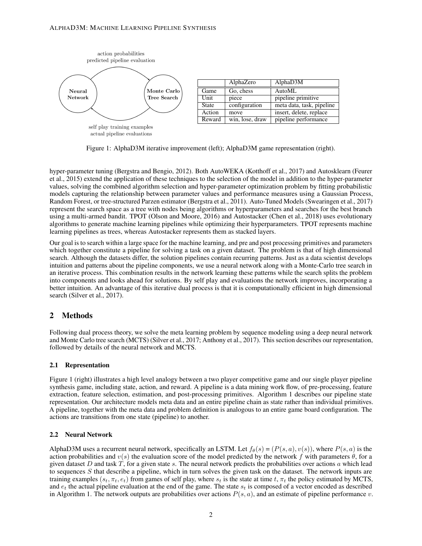

<span id="page-1-0"></span>Figure 1: AlphaD3M iterative improvement (left); AlphaD3M game representation (right).

hyper-parameter tuning [\(Bergstra and Bengio, 2012\)](#page-4-7). Both AutoWEKA [\(Kotthoff et al., 2017\)](#page-4-8) and Autosklearn [\(Feurer](#page-4-0) [et al., 2015\)](#page-4-0) extend the application of these techniques to the selection of the model in addition to the hyper-parameter values, solving the combined algorithm selection and hyper-parameter optimization problem by fitting probabilistic models capturing the relationship between parameter values and performance measures using a Gaussian Process, Random Forest, or tree-structured Parzen estimator [\(Bergstra et al., 2011\)](#page-4-9). Auto-Tuned Models [\(Swearingen et al., 2017\)](#page-5-2) represent the search space as a tree with nodes being algorithms or hyperparameters and searches for the best branch using a multi-armed bandit. TPOT [\(Olson and Moore, 2016\)](#page-5-0) and Autostacker [\(Chen et al., 2018\)](#page-4-1) uses evolutionary algorithms to generate machine learning pipelines while optimizing their hyperparameters. TPOT represents machine learning pipelines as trees, whereas Autostacker represents them as stacked layers.

Our goal is to search within a large space for the machine learning, and pre and post processing primitives and parameters which together constitute a pipeline for solving a task on a given dataset. The problem is that of high dimensional search. Although the datasets differ, the solution pipelines contain recurring patterns. Just as a data scientist develops intuition and patterns about the pipeline components, we use a neural network along with a Monte-Carlo tree search in an iterative process. This combination results in the network learning these patterns while the search splits the problem into components and looks ahead for solutions. By self play and evaluations the network improves, incorporating a better intuition. An advantage of this iterative dual process is that it is computationally efficient in high dimensional search [\(Silver et al., 2017\)](#page-5-1).

# 2 Methods

Following dual process theory, we solve the meta learning problem by sequence modeling using a deep neural network and Monte Carlo tree search (MCTS) [\(Silver et al., 2017;](#page-5-1) [Anthony et al., 2017\)](#page-4-4). This section describes our representation, followed by details of the neural network and MCTS.

### 2.1 Representation

Figure [1](#page-1-0) (right) illustrates a high level analogy between a two player competitive game and our single player pipeline synthesis game, including state, action, and reward. A pipeline is a data mining work flow, of pre-processing, feature extraction, feature selection, estimation, and post-processing primitives. Algorithm [1](#page-2-0) describes our pipeline state representation. Our architecture models meta data and an entire pipeline chain as state rather than individual primitives. A pipeline, together with the meta data and problem definition is analogous to an entire game board configuration. The actions are transitions from one state (pipeline) to another.

### 2.2 Neural Network

AlphaD3M uses a recurrent neural network, specifically an LSTM. Let  $f_{\theta}(s) = (P(s, a), v(s))$ , where  $P(s, a)$  is the action probabilities and  $v(s)$  the evaluation score of the model predicted by the network f with parameters  $\theta$ , for a given dataset D and task T, for a given state s. The neural network predicts the probabilities over actions a which lead to sequences  $S$  that describe a pipeline, which in turn solves the given task on the dataset. The network inputs are training examples ( $s_t, \pi_t, e_t$ ) from games of self play, where  $s_t$  is the state at time t,  $\pi_t$  the policy estimated by MCTS, and  $e_t$  the actual pipeline evaluation at the end of the game. The state  $s_t$  is composed of a vector encoded as described in Algorithm [1.](#page-2-0) The network outputs are probabilities over actions  $P(s, a)$ , and an estimate of pipeline performance v.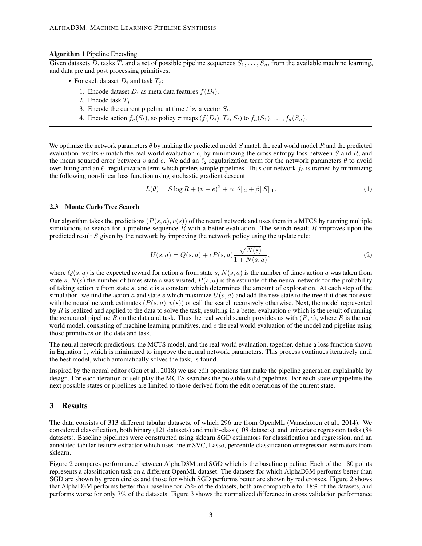#### Algorithm 1 Pipeline Encoding

<span id="page-2-0"></span>Given datasets D, tasks T, and a set of possible pipeline sequences  $S_1, \ldots, S_n$ , from the available machine learning, and data pre and post processing primitives.

- For each dataset  $D_i$  and task  $T_i$ :
	- 1. Encode dataset  $D_i$  as meta data features  $f(D_i)$ .
	- 2. Encode task  $T_i$ .
	- 3. Encode the current pipeline at time t by a vector  $S_t$ .
	- 4. Encode action  $f_a(S_t)$ , so policy  $\pi$  maps  $(f(D_i), T_i, S_t)$  to  $f_a(S_1), \ldots, f_a(S_n)$ .

We optimize the network parameters  $\theta$  by making the predicted model S match the real world model R and the predicted evaluation results v match the real world evaluation  $e$ , by minimizing the cross entropy loss between S and R, and the mean squared error between v and e. We add an  $\ell_2$  regularization term for the network parameters  $\theta$  to avoid over-fitting and an  $\ell_1$  regularization term which prefers simple pipelines. Thus our network  $f_\theta$  is trained by minimizing the following non-linear loss function using stochastic gradient descent:

<span id="page-2-1"></span>
$$
L(\theta) = S \log R + (v - e)^2 + \alpha \|\theta\|_2 + \beta \|S\|_1.
$$
 (1)

#### 2.3 Monte Carlo Tree Search

Our algorithm takes the predictions  $(P(s, a), v(s))$  of the neural network and uses them in a MTCS by running multiple simulations to search for a pipeline sequence R with a better evaluation. The search result R improves upon the predicted result  $S$  given by the network by improving the network policy using the update rule:

$$
U(s,a) = Q(s,a) + cP(s,a)\frac{\sqrt{N(s)}}{1 + N(s,a)},
$$
\n(2)

where  $Q(s, a)$  is the expected reward for action a from state s,  $N(s, a)$  is the number of times action a was taken from state s,  $N(s)$  the number of times state s was visited,  $P(s, a)$  is the estimate of the neural network for the probability of taking action  $\alpha$  from state  $s$ , and  $c$  is a constant which determines the amount of exploration. At each step of the simulation, we find the action a and state s which maximize  $U(s, a)$  and add the new state to the tree if it does not exist with the neural network estimates  $(P(s, a), v(s))$  or call the search recursively otherwise. Next, the model represented by R is realized and applied to the data to solve the task, resulting in a better evaluation  $e$  which is the result of running the generated pipeline R on the data and task. Thus the real world search provides us with  $(R, e)$ , where R is the real world model, consisting of machine learning primitives, and e the real world evaluation of the model and pipeline using those primitives on the data and task.

The neural network predictions, the MCTS model, and the real world evaluation, together, define a loss function shown in Equation [1,](#page-2-1) which is minimized to improve the neural network parameters. This process continues iteratively until the best model, which automatically solves the task, is found.

Inspired by the neural editor [\(Guu et al., 2018\)](#page-4-10) we use edit operations that make the pipeline generation explainable by design. For each iteration of self play the MCTS searches the possible valid pipelines. For each state or pipeline the next possible states or pipelines are limited to those derived from the edit operations of the current state.

#### 3 Results

The data consists of 313 different tabular datasets, of which 296 are from OpenML [\(Vanschoren et al., 2014\)](#page-5-3). We considered classification, both binary (121 datasets) and multi-class (108 datasets), and univariate regression tasks (84 datasets). Baseline pipelines were constructed using sklearn SGD estimators for classification and regression, and an annotated tabular feature extractor which uses linear SVC, Lasso, percentile classification or regression estimators from sklearn.

Figure [2](#page-3-0) compares performance between AlphaD3M and SGD which is the baseline pipeline. Each of the 180 points represents a classification task on a different OpenML dataset. The datasets for which AlphaD3M performs better than SGD are shown by green circles and those for which SGD performs better are shown by red crosses. Figure [2](#page-3-0) shows that AlphaD3M performs better than baseline for 75% of the datasets, both are comparable for 18% of the datasets, and performs worse for only 7% of the datasets. Figure [3](#page-3-1) shows the normalized difference in cross validation performance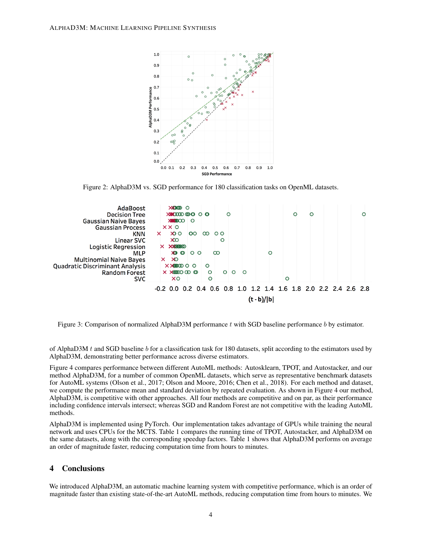<span id="page-3-0"></span>

Figure 2: AlphaD3M vs. SGD performance for 180 classification tasks on OpenML datasets.



<span id="page-3-1"></span>Figure 3: Comparison of normalized AlphaD3M performance  $t$  with SGD baseline performance  $b$  by estimator.

of AlphaD3M  $t$  and SGD baseline  $b$  for a classification task for 180 datasets, split according to the estimators used by AlphaD3M, demonstrating better performance across diverse estimators.

Figure [4](#page-4-11) compares performance between different AutoML methods: Autosklearn, TPOT, and Autostacker, and our method AlphaD3M, for a number of common OpenML datasets, which serve as representative benchmark datasets for AutoML systems [\(Olson et al., 2017;](#page-5-4) [Olson and Moore, 2016;](#page-5-0) [Chen et al., 2018\)](#page-4-1). For each method and dataset, we compute the performance mean and standard deviation by repeated evaluation. As shown in Figure [4](#page-4-11) our method, AlphaD3M, is competitive with other approaches. All four methods are competitive and on par, as their performance including confidence intervals intersect; whereas SGD and Random Forest are not competitive with the leading AutoML methods.

AlphaD3M is implemented using PyTorch. Our implementation takes advantage of GPUs while training the neural network and uses CPUs for the MCTS. Table [1](#page-4-12) compares the running time of TPOT, Autostacker, and AlphaD3M on the same datasets, along with the corresponding speedup factors. Table [1](#page-4-12) shows that AlphaD3M performs on average an order of magnitude faster, reducing computation time from hours to minutes.

### 4 Conclusions

We introduced AlphaD3M, an automatic machine learning system with competitive performance, which is an order of magnitude faster than existing state-of-the-art AutoML methods, reducing computation time from hours to minutes. We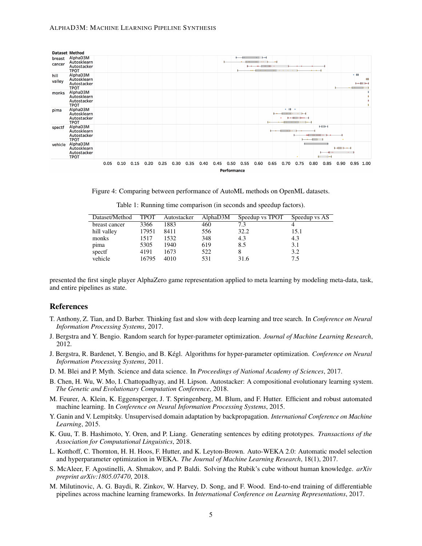

Figure 4: Comparing between performance of AutoML methods on OpenML datasets.

<span id="page-4-12"></span>

| Dataset/Method | <b>TPOT</b> | Autostacker | AlphaD3M | Speedup vs TPOT | Speedup vs AS |
|----------------|-------------|-------------|----------|-----------------|---------------|
| breast cancer  | 3366        | 1883        | 460      | 7.3             |               |
| hill valley    | 17951       | 8411        | 556      | 32.2            | 15.1          |
| monks          | 1517        | 1532        | 348      | 4.3             | 4.3           |
| pima           | 5305        | 1940        | 619      | 8.5             | 3.1           |
| spectf         | 4191        | 1673        | 522      | 8               | 3.2           |
| vehicle        | 16795       | 4010        | 531      | 31.6            | 7.5           |

<span id="page-4-11"></span>Table 1: Running time comparison (in seconds and speedup factors).

presented the first single player AlphaZero game representation applied to meta learning by modeling meta-data, task, and entire pipelines as state.

### References

- <span id="page-4-4"></span>T. Anthony, Z. Tian, and D. Barber. Thinking fast and slow with deep learning and tree search. In *Conference on Neural Information Processing Systems*, 2017.
- <span id="page-4-7"></span>J. Bergstra and Y. Bengio. Random search for hyper-parameter optimization. *Journal of Machine Learning Research*, 2012.
- <span id="page-4-9"></span>J. Bergstra, R. Bardenet, Y. Bengio, and B. Kégl. Algorithms for hyper-parameter optimization. *Conference on Neural Information Processing Systems*, 2011.
- <span id="page-4-2"></span>D. M. Blei and P. Myth. Science and data science. In *Proceedings of National Academy of Sciences*, 2017.
- <span id="page-4-1"></span>B. Chen, H. Wu, W. Mo, I. Chattopadhyay, and H. Lipson. Autostacker: A compositional evolutionary learning system. *The Genetic and Evolutionary Computation Conference*, 2018.
- <span id="page-4-0"></span>M. Feurer, A. Klein, K. Eggensperger, J. T. Springenberg, M. Blum, and F. Hutter. Efficient and robust automated machine learning. In *Conference on Neural Information Processing Systems*, 2015.
- <span id="page-4-5"></span>Y. Ganin and V. Lempitsky. Unsupervised domain adaptation by backpropagation. *International Conference on Machine Learning*, 2015.
- <span id="page-4-10"></span>K. Guu, T. B. Hashimoto, Y. Oren, and P. Liang. Generating sentences by editing prototypes. *Transactions of the Association for Computational Linguistics*, 2018.
- <span id="page-4-8"></span>L. Kotthoff, C. Thornton, H. H. Hoos, F. Hutter, and K. Leyton-Brown. Auto-WEKA 2.0: Automatic model selection and hyperparameter optimization in WEKA. *The Journal of Machine Learning Research*, 18(1), 2017.
- <span id="page-4-3"></span>S. McAleer, F. Agostinelli, A. Shmakov, and P. Baldi. Solving the Rubik's cube without human knowledge. *arXiv preprint arXiv:1805.07470*, 2018.
- <span id="page-4-6"></span>M. Milutinovic, A. G. Baydi, R. Zinkov, W. Harvey, D. Song, and F. Wood. End-to-end training of differentiable pipelines across machine learning frameworks. In *International Conference on Learning Representations*, 2017.